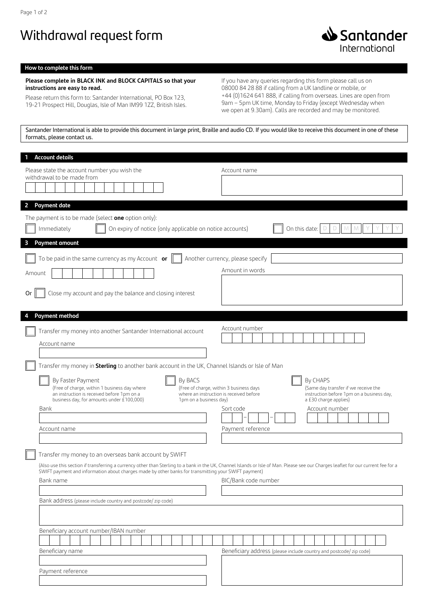## Withdrawal request form



## **How to complete this form**

## **Please complete in BLACK INK and BLOCK CAPITALS so that your instructions are easy to read.**

Please return this form to: Santander International, PO Box 123, 19-21 Prospect Hill, Douglas, Isle of Man IM99 1ZZ, British Isles. If you have any queries regarding this form please call us on 08000 84 28 88 if calling from a UK landline or mobile, or +44 (0)1624 641 888, if calling from overseas. Lines are open from 9am – 5pm UK time, Monday to Friday (except Wednesday when we open at 9.30am). Calls are recorded and may be monitored.

Santander International is able to provide this document in large print, Braille and audio CD. If you would like to receive this document in one of these formats, please contact us.

| <b>Account details</b><br>1                                                                                                                                                                                                                |                                                                                                                                                                                                                                                                  |
|--------------------------------------------------------------------------------------------------------------------------------------------------------------------------------------------------------------------------------------------|------------------------------------------------------------------------------------------------------------------------------------------------------------------------------------------------------------------------------------------------------------------|
| Please state the account number you wish the<br>withdrawal to be made from                                                                                                                                                                 | Account name                                                                                                                                                                                                                                                     |
| $\overline{2}$<br><b>Payment date</b>                                                                                                                                                                                                      |                                                                                                                                                                                                                                                                  |
| The payment is to be made (select one option only):<br>Immediately<br>On expiry of notice (only applicable on notice accounts)                                                                                                             | On this date:                                                                                                                                                                                                                                                    |
| <b>Payment amount</b><br>3                                                                                                                                                                                                                 |                                                                                                                                                                                                                                                                  |
| To be paid in the same currency as my Account or<br>Amount<br>Close my account and pay the balance and closing interest<br>Or                                                                                                              | Another currency, please specify<br>Amount in words                                                                                                                                                                                                              |
|                                                                                                                                                                                                                                            |                                                                                                                                                                                                                                                                  |
| <b>Payment method</b><br>4<br>Transfer my money into another Santander International account<br>Account name                                                                                                                               | Account number                                                                                                                                                                                                                                                   |
| Transfer my money in Sterling to another bank account in the UK, Channel Islands or Isle of Man                                                                                                                                            |                                                                                                                                                                                                                                                                  |
| By Faster Payment<br>By BACS<br>(Free of charge, within 1 business day where<br>an instruction is received before 1pm on a<br>business day, for amounts under £100,000)<br>1pm on a business day)<br>Bank<br>Account name                  | By CHAPS<br>(Free of charge, within 3 business days<br>(Same day transfer if we receive the<br>where an instruction is received before<br>instruction before 1pm on a business day,<br>a £30 charge applies)<br>Sort code<br>Account number<br>Payment reference |
|                                                                                                                                                                                                                                            |                                                                                                                                                                                                                                                                  |
| Transfer my money to an overseas bank account by SWIFT<br>SWIFT payment and information about charges made by other banks for transmitting your SWIFT payment)<br>Bank name<br>Bank address (please include country and postcode/zip code) | (Also use this section if transferring a currency other than Sterling to a bank in the UK, Channel Islands or Isle of Man. Please see our Charges leaflet for our current fee for a<br>BIC/Bank code number                                                      |
| Beneficiary account number/IBAN number                                                                                                                                                                                                     |                                                                                                                                                                                                                                                                  |
|                                                                                                                                                                                                                                            |                                                                                                                                                                                                                                                                  |
| Beneficiary name                                                                                                                                                                                                                           | Beneficiary address (please include country and postcode/ zip code)                                                                                                                                                                                              |
| Payment reference                                                                                                                                                                                                                          |                                                                                                                                                                                                                                                                  |